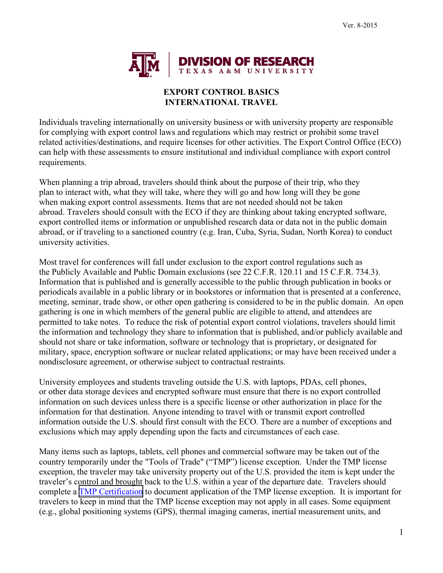

## **EXPORT CONTROL BASICS INTERNATIONAL TRAVEL**

Individuals traveling internationally on university business or with university property are responsible for complying with export control laws and regulations which may restrict or prohibit some travel related activities/destinations, and require licenses for other activities. The Export Control Office (ECO) can help with these assessments to ensure institutional and individual compliance with export control requirements.

When planning a trip abroad, travelers should think about the purpose of their trip, who they plan to interact with, what they will take, where they will go and how long will they be gone when making export control assessments. Items that are not needed should not be taken abroad. Travelers should consult with the ECO if they are thinking about taking encrypted software, export controlled items or information or unpublished research data or data not in the public domain abroad, or if traveling to a sanctioned country (e.g. Iran, Cuba, Syria, Sudan, North Korea) to conduct university activities.

Most travel for conferences will fall under exclusion to the export control regulations such as the Publicly Available and Public Domain exclusions (see 22 C.F.R. 120.11 and 15 C.F.R. 734.3). Information that is published and is generally accessible to the public through publication in books or periodicals available in a public library or in bookstores or information that is presented at a conference, meeting, seminar, trade show, or other open gathering is considered to be in the public domain. An open gathering is one in which members of the general public are eligible to attend, and attendees are permitted to take notes. To reduce the risk of potential export control violations, travelers should limit the information and technology they share to information that is published, and/or publicly available and should not share or take information, software or technology that is proprietary, or designated for military, space, encryption software or nuclear related applications; or may have been received under a nondisclosure agreement, or otherwise subject to contractual restraints.

University employees and students traveling outside the U.S. with laptops, PDAs, cell phones, or other data storage devices and encrypted software must ensure that there is no export controlled information on such devices unless there is a specific license or other authorization in place for the information for that destination. Anyone intending to travel with or transmit export controlled information outside the U.S. should first consult with the ECO. There are a number of exceptions and exclusions which may apply depending upon the facts and circumstances of each case.

Many items such as laptops, tablets, cell phones and commercial software may be taken out of the country temporarily under the "Tools of Trade" ("TMP") license exception. Under the TMP license exception, the traveler may take university property out of the U.S. provided the item is kept under the traveler's control and brought back to the U.S. within a year of the departure date. Travelers should complete a [TMP Certification](https://vpr.tamu.edu/resources/export-controls/tmp-certification) to document application of the TMP license exception. It is important for travelers to keep in mind that the TMP license exception may not apply in all cases. Some equipment (e.g., global positioning systems (GPS), thermal imaging cameras, inertial measurement units, and